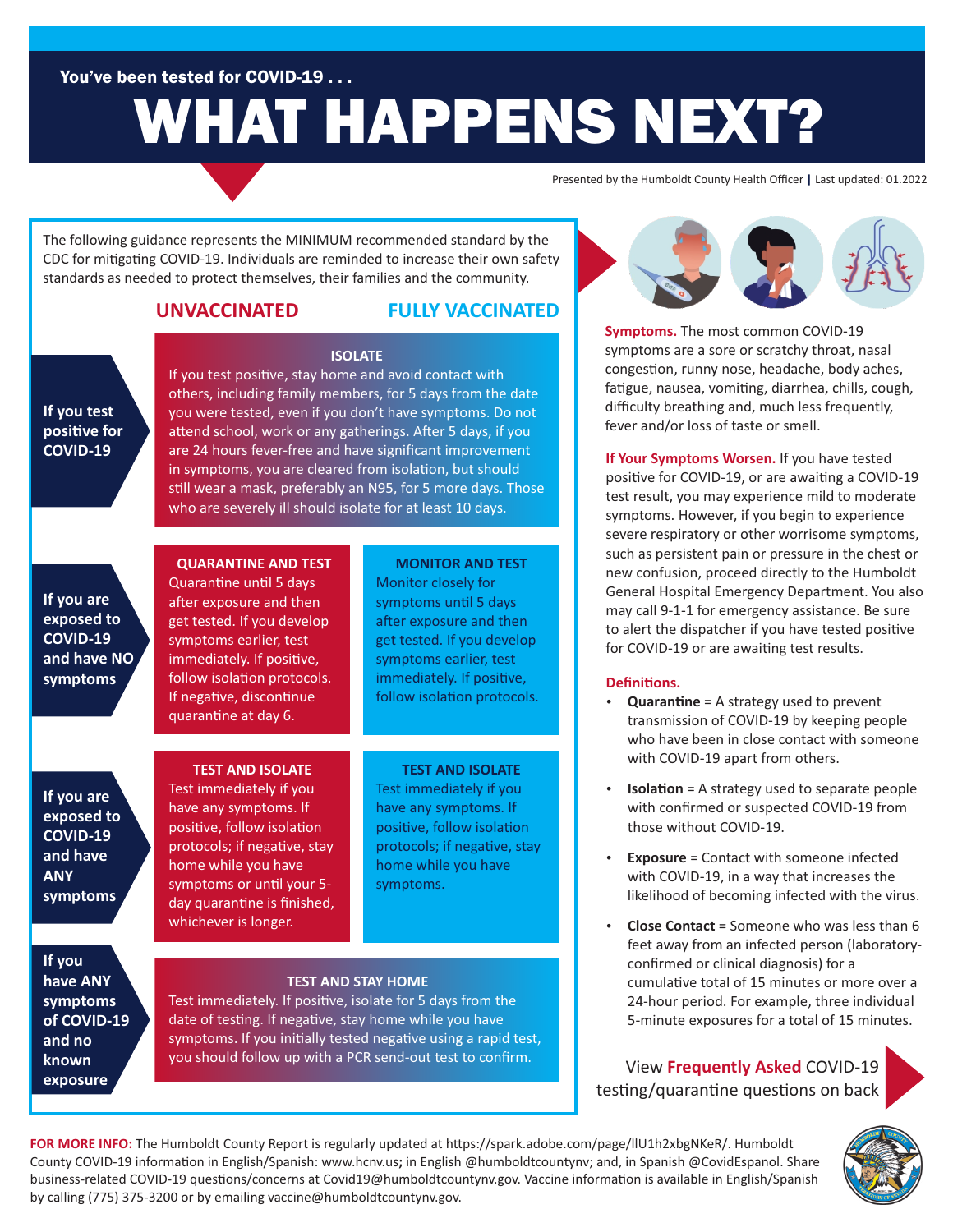You've been tested for COVID-19 . . .

# WHAT HAPPENS NEXT?

Presented by the Humboldt County Health Officer **|** Last updated: 01.2022

The following guidance represents the MINIMUM recommended standard by the CDC for mitigating COVID-19. Individuals are reminded to increase their own safety standards as needed to protect themselves, their families and the community.

### **UNVACCINATED**

### **FULLY VACCINATED**

### **If you test positive for COVID-19**

If you test positive, stay home and avoid contact with others, including family members, for 5 days from the date you were tested, even if you don't have symptoms. Do not attend school, work or any gatherings. After 5 days, if you are 24 hours fever-free and have significant improvement in symptoms, you are cleared from isolation, but should still wear a mask, preferably an N95, for 5 more days. Those who are severely ill should isolate for at least 10 days.

**ISOLATE**

**If you are exposed to COVID-19 and have NO symptoms**

### **QUARANTINE AND TEST**

Quarantine until 5 days after exposure and then get tested. If you develop symptoms earlier, test immediately. If positive, follow isolation protocols. If negative, discontinue quarantine at day 6.

### **MONITOR AND TEST**

Monitor closely for symptoms until 5 days after exposure and then get tested. If you develop symptoms earlier, test immediately. If positive, follow isolation protocols.

**If you are exposed to COVID-19 and have ANY symptoms**

### **TEST AND ISOLATE**

Test immediately if you have any symptoms. If positive, follow isolation protocols; if negative, stay home while you have symptoms or until your 5day quarantine is finished, whichever is longer.

### **TEST AND ISOLATE**

Test immediately if you have any symptoms. If positive, follow isolation protocols; if negative, stay home while you have symptoms.

**If you have ANY symptoms of COVID-19 and no known exposure**

### **TEST AND STAY HOME**

Test immediately. If positive, isolate for 5 days from the date of testing. If negative, stay home while you have symptoms. If you initially tested negative using a rapid test, you should follow up with a PCR send-out test to confirm. View Frequently Asked COVID-19



**Symptoms.** The most common COVID-19 symptoms are a sore or scratchy throat, nasal congestion, runny nose, headache, body aches, fatigue, nausea, vomiting, diarrhea, chills, cough, difficulty breathing and, much less frequently, fever and/or loss of taste or smell.

**If Your Symptoms Worsen.** If you have tested positive for COVID-19, or are awaiting a COVID-19 test result, you may experience mild to moderate symptoms. However, if you begin to experience severe respiratory or other worrisome symptoms, such as persistent pain or pressure in the chest or new confusion, proceed directly to the Humboldt General Hospital Emergency Department. You also may call 9-1-1 for emergency assistance. Be sure to alert the dispatcher if you have tested positive for COVID-19 or are awaiting test results.

### Definitions.

- **Quarantine** = A strategy used to prevent transmission of COVID-19 by keeping people who have been in close contact with someone with COVID-19 apart from others.
- **Isolation** = A strategy used to separate people with confirmed or suspected COVID-19 from those without COVID-19.
- **Exposure** = Contact with someone infected with COVID-19, in a way that increases the likelihood of becoming infected with the virus.
- **Close Contact** = Someone who was less than 6 feet away from an infected person (laboratoryconfirmed or clinical diagnosis) for a cumulative total of 15 minutes or more over a 24-hour period. For example, three individual 5-minute exposures for a total of 15 minutes.

testing/quarantine questions on back



FOR MORE INFO: The Humboldt County Report is regularly updated at https://spark.adobe.com/page/llU1h2xbgNKeR/. Humboldt County COVID-19 information in English/Spanish: www.hcnv.us; in English @humboldtcountynv; and, in Spanish @CovidEspanol. Share business-related COVID-19 questions/concerns at Covid19@humboldtcountynv.gov. Vaccine information is available in English/Spanish by calling (775) 375-3200 or by emailing vaccine@humboldtcountynv.gov.